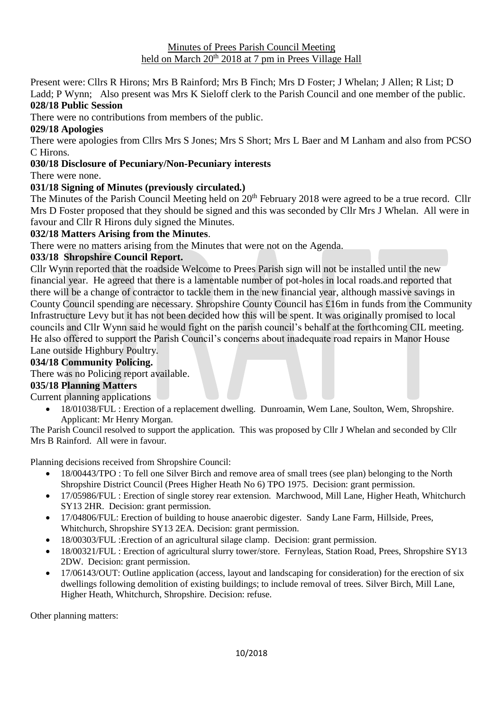#### Minutes of Prees Parish Council Meeting held on March 20<sup>th</sup> 2018 at 7 pm in Prees Village Hall

Present were: Cllrs R Hirons; Mrs B Rainford; Mrs B Finch; Mrs D Foster; J Whelan; J Allen; R List; D Ladd; P Wynn; Also present was Mrs K Sieloff clerk to the Parish Council and one member of the public. **028/18 Public Session**

There were no contributions from members of the public.

### **029/18 Apologies**

There were apologies from Cllrs Mrs S Jones; Mrs S Short; Mrs L Baer and M Lanham and also from PCSO C Hirons.

#### **030/18 Disclosure of Pecuniary/Non-Pecuniary interests**

There were none.

### **031/18 Signing of Minutes (previously circulated.)**

The Minutes of the Parish Council Meeting held on 20<sup>th</sup> February 2018 were agreed to be a true record. Cllr Mrs D Foster proposed that they should be signed and this was seconded by Cllr Mrs J Whelan. All were in favour and Cllr R Hirons duly signed the Minutes.

#### **032/18 Matters Arising from the Minutes**.

There were no matters arising from the Minutes that were not on the Agenda.

### **033/18 Shropshire Council Report.**

Cllr Wynn reported that the roadside Welcome to Prees Parish sign will not be installed until the new financial year. He agreed that there is a lamentable number of pot-holes in local roads.and reported that there will be a change of contractor to tackle them in the new financial year, although massive savings in County Council spending are necessary. Shropshire County Council has £16m in funds from the Community Infrastructure Levy but it has not been decided how this will be spent. It was originally promised to local councils and Cllr Wynn said he would fight on the parish council's behalf at the forthcoming CIL meeting. He also offered to support the Parish Council's concerns about inadequate road repairs in Manor House Lane outside Highbury Poultry.

### **034/18 Community Policing.**

### There was no Policing report available.

# **035/18 Planning Matters**

Current planning applications

• 18/01038/FUL : Erection of a replacement dwelling. Dunroamin, Wem Lane, Soulton, Wem, Shropshire. Applicant: Mr Henry Morgan.

The Parish Council resolved to support the application. This was proposed by Cllr J Whelan and seconded by Cllr Mrs B Rainford. All were in favour.

Planning decisions received from Shropshire Council:

- 18/00443/TPO : To fell one Silver Birch and remove area of small trees (see plan) belonging to the North Shropshire District Council (Prees Higher Heath No 6) TPO 1975. Decision: grant permission.
- 17/05986/FUL : Erection of single storey rear extension. Marchwood, Mill Lane, Higher Heath, Whitchurch SY13 2HR. Decision: grant permission.
- 17/04806/FUL: Erection of building to house anaerobic digester. Sandy Lane Farm, Hillside, Prees, Whitchurch, Shropshire SY13 2EA. Decision: grant permission.
- 18/00303/FUL : Erection of an agricultural silage clamp. Decision: grant permission.
- 18/00321/FUL : Erection of agricultural slurry tower/store. Fernyleas, Station Road, Prees, Shropshire SY13 2DW. Decision: grant permission.
- 17/06143/OUT: Outline application (access, layout and landscaping for consideration) for the erection of six dwellings following demolition of existing buildings; to include removal of trees. Silver Birch, Mill Lane, Higher Heath, Whitchurch, Shropshire. Decision: refuse.

Other planning matters: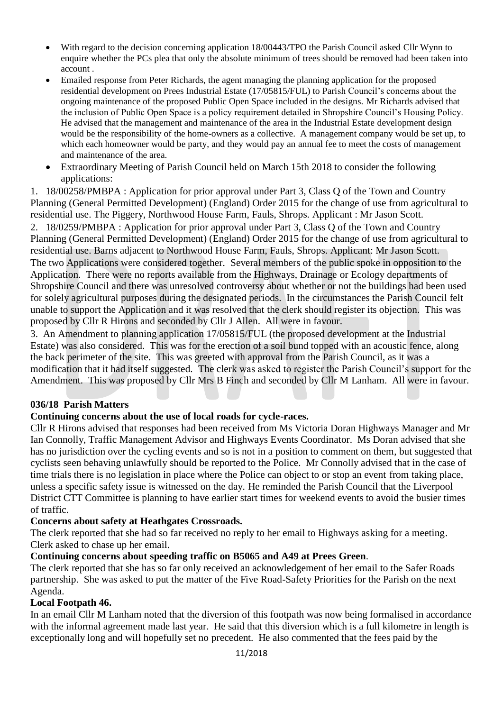- With regard to the decision concerning application 18/00443/TPO the Parish Council asked Cllr Wynn to enquire whether the PCs plea that only the absolute minimum of trees should be removed had been taken into account .
- Emailed response from Peter Richards, the agent managing the planning application for the proposed residential development on Prees Industrial Estate (17/05815/FUL) to Parish Council's concerns about the ongoing maintenance of the proposed Public Open Space included in the designs. Mr Richards advised that the inclusion of Public Open Space is a policy requirement detailed in Shropshire Council's Housing Policy. He advised that the management and maintenance of the area in the Industrial Estate development design would be the responsibility of the home-owners as a collective. A management company would be set up, to which each homeowner would be party, and they would pay an annual fee to meet the costs of management and maintenance of the area.
- Extraordinary Meeting of Parish Council held on March 15th 2018 to consider the following applications:

1. 18/00258/PMBPA : Application for prior approval under Part 3, Class Q of the Town and Country Planning (General Permitted Development) (England) Order 2015 for the change of use from agricultural to residential use. The Piggery, Northwood House Farm, Fauls, Shrops. Applicant : Mr Jason Scott.

2. 18/0259/PMBPA : Application for prior approval under Part 3, Class Q of the Town and Country Planning (General Permitted Development) (England) Order 2015 for the change of use from agricultural to residential use. Barns adjacent to Northwood House Farm, Fauls, Shrops. Applicant: Mr Jason Scott. The two Applications were considered together. Several members of the public spoke in opposition to the Application. There were no reports available from the Highways, Drainage or Ecology departments of Shropshire Council and there was unresolved controversy about whether or not the buildings had been used for solely agricultural purposes during the designated periods. In the circumstances the Parish Council felt unable to support the Application and it was resolved that the clerk should register its objection. This was proposed by Cllr R Hirons and seconded by Cllr J Allen. All were in favour.

3. An Amendment to planning application 17/05815/FUL (the proposed development at the Industrial Estate) was also considered. This was for the erection of a soil bund topped with an acoustic fence, along the back perimeter of the site. This was greeted with approval from the Parish Council, as it was a modification that it had itself suggested. The clerk was asked to register the Parish Council's support for the Amendment. This was proposed by Cllr Mrs B Finch and seconded by Cllr M Lanham. All were in favour.

# **036/18 Parish Matters**

### **Continuing concerns about the use of local roads for cycle-races.**

Cllr R Hirons advised that responses had been received from Ms Victoria Doran Highways Manager and Mr Ian Connolly, Traffic Management Advisor and Highways Events Coordinator. Ms Doran advised that she has no jurisdiction over the cycling events and so is not in a position to comment on them, but suggested that cyclists seen behaving unlawfully should be reported to the Police. Mr Connolly advised that in the case of time trials there is no legislation in place where the Police can object to or stop an event from taking place, unless a specific safety issue is witnessed on the day. He reminded the Parish Council that the Liverpool District CTT Committee is planning to have earlier start times for weekend events to avoid the busier times of traffic.

### **Concerns about safety at Heathgates Crossroads.**

The clerk reported that she had so far received no reply to her email to Highways asking for a meeting. Clerk asked to chase up her email.

### **Continuing concerns about speeding traffic on B5065 and A49 at Prees Green**.

The clerk reported that she has so far only received an acknowledgement of her email to the Safer Roads partnership. She was asked to put the matter of the Five Road-Safety Priorities for the Parish on the next Agenda.

### **Local Footpath 46.**

In an email Cllr M Lanham noted that the diversion of this footpath was now being formalised in accordance with the informal agreement made last year. He said that this diversion which is a full kilometre in length is exceptionally long and will hopefully set no precedent. He also commented that the fees paid by the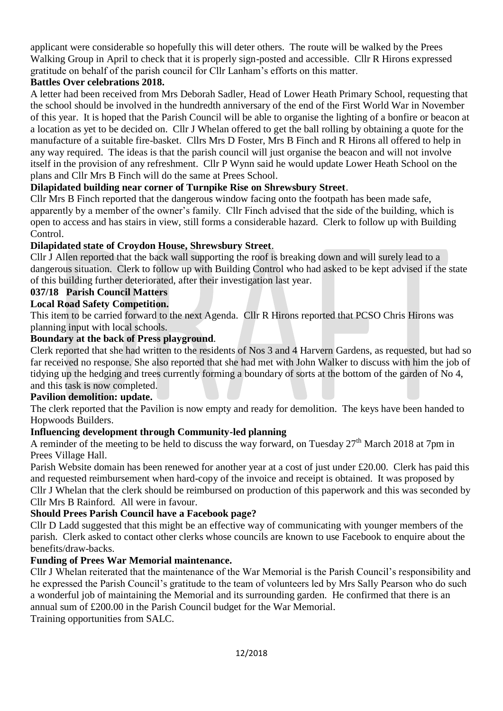applicant were considerable so hopefully this will deter others. The route will be walked by the Prees Walking Group in April to check that it is properly sign-posted and accessible. Cllr R Hirons expressed gratitude on behalf of the parish council for Cllr Lanham's efforts on this matter.

# **Battles Over celebrations 2018.**

A letter had been received from Mrs Deborah Sadler, Head of Lower Heath Primary School, requesting that the school should be involved in the hundredth anniversary of the end of the First World War in November of this year. It is hoped that the Parish Council will be able to organise the lighting of a bonfire or beacon at a location as yet to be decided on. Cllr J Whelan offered to get the ball rolling by obtaining a quote for the manufacture of a suitable fire-basket. Cllrs Mrs D Foster, Mrs B Finch and R Hirons all offered to help in any way required. The ideas is that the parish council will just organise the beacon and will not involve itself in the provision of any refreshment. Cllr P Wynn said he would update Lower Heath School on the plans and Cllr Mrs B Finch will do the same at Prees School.

# **Dilapidated building near corner of Turnpike Rise on Shrewsbury Street**.

Cllr Mrs B Finch reported that the dangerous window facing onto the footpath has been made safe, apparently by a member of the owner's family. Cllr Finch advised that the side of the building, which is open to access and has stairs in view, still forms a considerable hazard. Clerk to follow up with Building Control.

# **Dilapidated state of Croydon House, Shrewsbury Street**.

Cllr J Allen reported that the back wall supporting the roof is breaking down and will surely lead to a dangerous situation. Clerk to follow up with Building Control who had asked to be kept advised if the state of this building further deteriorated, after their investigation last year.

# **037/18 Parish Council Matters**

# **Local Road Safety Competition.**

This item to be carried forward to the next Agenda. Cllr R Hirons reported that PCSO Chris Hirons was planning input with local schools.

### **Boundary at the back of Press playground**.

Clerk reported that she had written to the residents of Nos 3 and 4 Harvern Gardens, as requested, but had so far received no response. She also reported that she had met with John Walker to discuss with him the job of tidying up the hedging and trees currently forming a boundary of sorts at the bottom of the garden of No 4, and this task is now completed.

### **Pavilion demolition: update.**

The clerk reported that the Pavilion is now empty and ready for demolition. The keys have been handed to Hopwoods Builders.

# **Influencing development through Community-led planning**

A reminder of the meeting to be held to discuss the way forward, on Tuesday  $27<sup>th</sup>$  March 2018 at 7pm in Prees Village Hall.

Parish Website domain has been renewed for another year at a cost of just under £20.00. Clerk has paid this and requested reimbursement when hard-copy of the invoice and receipt is obtained. It was proposed by Cllr J Whelan that the clerk should be reimbursed on production of this paperwork and this was seconded by Cllr Mrs B Rainford. All were in favour.

# **Should Prees Parish Council have a Facebook page?**

Cllr D Ladd suggested that this might be an effective way of communicating with younger members of the parish. Clerk asked to contact other clerks whose councils are known to use Facebook to enquire about the benefits/draw-backs.

# **Funding of Prees War Memorial maintenance.**

Cllr J Whelan reiterated that the maintenance of the War Memorial is the Parish Council's responsibility and he expressed the Parish Council's gratitude to the team of volunteers led by Mrs Sally Pearson who do such a wonderful job of maintaining the Memorial and its surrounding garden. He confirmed that there is an annual sum of £200.00 in the Parish Council budget for the War Memorial.

Training opportunities from SALC.